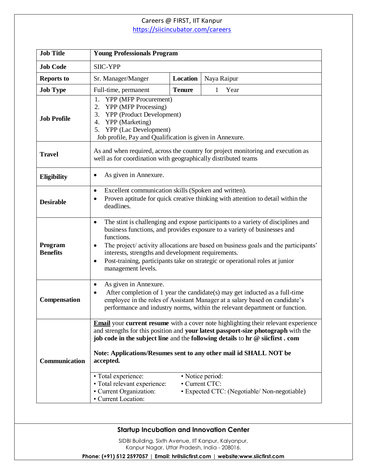## Careers @ FIRST, IIT Kanpur <https://siicincubator.com/careers>

| <b>Job Title</b>           | <b>Young Professionals Program</b>                                                                                                                                                                                                                                                                                                                                                                                                                                                                                                                |               |             |  |  |  |  |  |
|----------------------------|---------------------------------------------------------------------------------------------------------------------------------------------------------------------------------------------------------------------------------------------------------------------------------------------------------------------------------------------------------------------------------------------------------------------------------------------------------------------------------------------------------------------------------------------------|---------------|-------------|--|--|--|--|--|
| <b>Job Code</b>            | <b>SIIC-YPP</b>                                                                                                                                                                                                                                                                                                                                                                                                                                                                                                                                   |               |             |  |  |  |  |  |
| <b>Reports to</b>          | Sr. Manager/Manger                                                                                                                                                                                                                                                                                                                                                                                                                                                                                                                                | Location      | Naya Raipur |  |  |  |  |  |
| <b>Job Type</b>            | Full-time, permanent                                                                                                                                                                                                                                                                                                                                                                                                                                                                                                                              | <b>Tenure</b> | Year<br>1   |  |  |  |  |  |
| <b>Job Profile</b>         | <b>YPP</b> (MFP Procurement)<br>1.<br>2.<br><b>YPP</b> (MFP Processing)<br>YPP (Product Development)<br>3.<br>YPP (Marketing)<br>4.<br><b>YPP</b> (Lac Development)<br>5.<br>Job profile, Pay and Qualification is given in Annexure.                                                                                                                                                                                                                                                                                                             |               |             |  |  |  |  |  |
| <b>Travel</b>              | As and when required, across the country for project monitoring and execution as<br>well as for coordination with geographically distributed teams                                                                                                                                                                                                                                                                                                                                                                                                |               |             |  |  |  |  |  |
| <b>Eligibility</b>         | As given in Annexure.<br>$\bullet$                                                                                                                                                                                                                                                                                                                                                                                                                                                                                                                |               |             |  |  |  |  |  |
| <b>Desirable</b>           | Excellent communication skills (Spoken and written).<br>$\bullet$<br>Proven aptitude for quick creative thinking with attention to detail within the<br>٠<br>deadlines.                                                                                                                                                                                                                                                                                                                                                                           |               |             |  |  |  |  |  |
| Program<br><b>Benefits</b> | The stint is challenging and expose participants to a variety of disciplines and<br>$\bullet$<br>business functions, and provides exposure to a variety of businesses and<br>functions.<br>The project/activity allocations are based on business goals and the participants'<br>$\bullet$<br>interests, strengths and development requirements.<br>Post-training, participants take on strategic or operational roles at junior<br>$\bullet$<br>management levels.                                                                               |               |             |  |  |  |  |  |
| <b>Compensation</b>        | As given in Annexure.<br>$\bullet$<br>After completion of 1 year the candidate(s) may get inducted as a full-time<br>$\bullet$<br>employee in the roles of Assistant Manager at a salary based on candidate's<br>performance and industry norms, within the relevant department or function.                                                                                                                                                                                                                                                      |               |             |  |  |  |  |  |
| <b>Communication</b>       | <b>Email</b> your current resume with a cover note highlighting their relevant experience<br>and strengths for this position and your latest passport-size photograph with the<br>job code in the subject line and the following details to hr @ siicfirst . com<br>Note: Applications/Resumes sent to any other mail id SHALL NOT be<br>accepted.<br>• Total experience:<br>• Notice period:<br>· Total relevant experience:<br>• Current CTC:<br>• Current Organization:<br>· Expected CTC: (Negotiable/ Non-negotiable)<br>• Current Location: |               |             |  |  |  |  |  |

## **Startup Incubation and Innovation Center**

SIDBI Building, Sixth Avenue, IIT Kanpur, Kalyanpur, Kanpur Nagar, Uttar Pradesh, India - 208016.